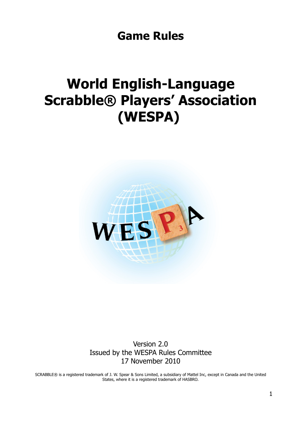**Game Rules**

# **World English-Language Scrabble® Players' Association (WESPA)**



Version 2.0 Issued by the WESPA Rules Committee 17 November 2010

SCRABBLE® is a registered trademark of J. W. Spear & Sons Limited, a subsidiary of Mattel Inc, except in Canada and the United States, where it is a registered trademark of HASBRO.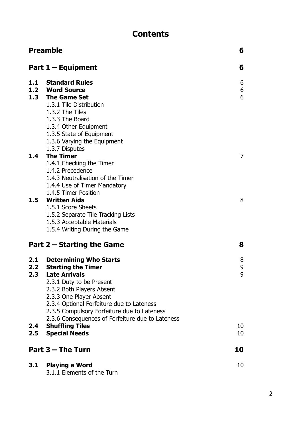## **Contents**

| <b>Preamble</b>                          |                                                                                                                                                                                                                                                                                                                                               | 6                 |  |
|------------------------------------------|-----------------------------------------------------------------------------------------------------------------------------------------------------------------------------------------------------------------------------------------------------------------------------------------------------------------------------------------------|-------------------|--|
|                                          | Part $1 -$ Equipment<br>6                                                                                                                                                                                                                                                                                                                     |                   |  |
|                                          | 1.1 Standard Rules<br>1.2 Word Source<br>1.3 The Game Set<br>1.3.1 Tile Distribution<br>1.3.2 The Tiles<br>1.3.3 The Board<br>1.3.4 Other Equipment<br>1.3.5 State of Equipment<br>1.3.6 Varying the Equipment<br>1.3.7 Disputes                                                                                                              | 6<br>6<br>6       |  |
| 1.4                                      | <b>The Timer</b><br>1.4.1 Checking the Timer<br>1.4.2 Precedence<br>1.4.3 Neutralisation of the Timer<br>1.4.4 Use of Timer Mandatory<br>1.4.5 Timer Position                                                                                                                                                                                 | $\overline{7}$    |  |
|                                          | 1.5 Written Aids<br>1.5.1 Score Sheets<br>1.5.2 Separate Tile Tracking Lists<br>1.5.3 Acceptable Materials<br>1.5.4 Writing During the Game                                                                                                                                                                                                   | 8                 |  |
|                                          | 8<br>Part 2 – Starting the Game                                                                                                                                                                                                                                                                                                               |                   |  |
| 2.2<br>2.3 <sub>2</sub><br>$2.4^{\circ}$ | 2.1 Determining Who Starts<br><b>Starting the Timer</b><br><b>Late Arrivals</b><br>2.3.1 Duty to be Present<br>2.3.2 Both Players Absent<br>2.3.3 One Player Absent<br>2.3.4 Optional Forfeiture due to Lateness<br>2.3.5 Compulsory Forfeiture due to Lateness<br>2.3.6 Consequences of Forfeiture due to Lateness<br><b>Shuffling Tiles</b> | 8<br>9<br>9<br>10 |  |
| 2.5                                      | <b>Special Needs</b>                                                                                                                                                                                                                                                                                                                          | 10                |  |
| Part 3 - The Turn                        |                                                                                                                                                                                                                                                                                                                                               | 10                |  |
| 3.1                                      | <b>Playing a Word</b><br>3.1.1 Elements of the Turn                                                                                                                                                                                                                                                                                           | 10                |  |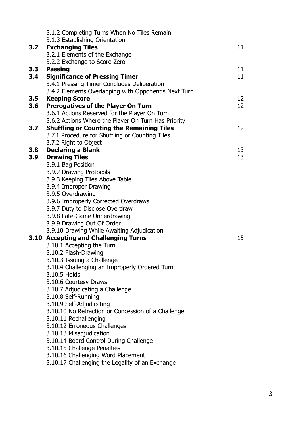|     | 3.1.2 Completing Turns When No Tiles Remain                |                 |
|-----|------------------------------------------------------------|-----------------|
|     | 3.1.3 Establishing Orientation                             |                 |
|     | 3.2 Exchanging Tiles                                       | 11 <sup>1</sup> |
|     | 3.2.1 Elements of the Exchange                             |                 |
|     | 3.2.2 Exchange to Score Zero                               |                 |
| 3.3 | <b>Passing</b>                                             | 11 <sup>1</sup> |
| 3.4 | <b>Significance of Pressing Timer</b>                      | 11 <sup>1</sup> |
|     | 3.4.1 Pressing Timer Concludes Deliberation                |                 |
|     | 3.4.2 Elements Overlapping with Opponent's Next Turn       |                 |
| 3.5 | <b>Keeping Score</b>                                       | 12              |
| 3.6 | <b>Prerogatives of the Player On Turn</b>                  | 12              |
|     | 3.6.1 Actions Reserved for the Player On Turn              |                 |
|     | 3.6.2 Actions Where the Player On Turn Has Priority        |                 |
| 3.7 | <b>Shuffling or Counting the Remaining Tiles</b>           | 12              |
|     | 3.7.1 Procedure for Shuffling or Counting Tiles            |                 |
|     | 3.7.2 Right to Object                                      |                 |
| 3.8 | <b>Declaring a Blank</b>                                   | 13              |
| 3.9 | <b>Drawing Tiles</b>                                       | 13              |
|     | 3.9.1 Bag Position                                         |                 |
|     | 3.9.2 Drawing Protocols<br>3.9.3 Keeping Tiles Above Table |                 |
|     | 3.9.4 Improper Drawing                                     |                 |
|     | 3.9.5 Overdrawing                                          |                 |
|     | 3.9.6 Improperly Corrected Overdraws                       |                 |
|     | 3.9.7 Duty to Disclose Overdraw                            |                 |
|     | 3.9.8 Late-Game Underdrawing                               |                 |
|     | 3.9.9 Drawing Out Of Order                                 |                 |
|     | 3.9.10 Drawing While Awaiting Adjudication                 |                 |
|     | 3.10 Accepting and Challenging Turns                       | 15              |
|     | 3.10.1 Accepting the Turn                                  |                 |
|     | 3.10.2 Flash-Drawing                                       |                 |
|     | 3.10.3 Issuing a Challenge                                 |                 |
|     | 3.10.4 Challenging an Improperly Ordered Turn              |                 |
|     | 3.10.5 Holds                                               |                 |
|     | 3.10.6 Courtesy Draws                                      |                 |
|     | 3.10.7 Adjudicating a Challenge                            |                 |
|     | 3.10.8 Self-Running                                        |                 |
|     | 3.10.9 Self-Adjudicating                                   |                 |
|     | 3.10.10 No Retraction or Concession of a Challenge         |                 |
|     | 3.10.11 Rechallenging                                      |                 |
|     | 3.10.12 Erroneous Challenges                               |                 |
|     | 3.10.13 Misadjudication                                    |                 |
|     | 3.10.14 Board Control During Challenge                     |                 |
|     | 3.10.15 Challenge Penalties                                |                 |
|     | 3.10.16 Challenging Word Placement                         |                 |
|     | 3.10.17 Challenging the Legality of an Exchange            |                 |
|     |                                                            |                 |

3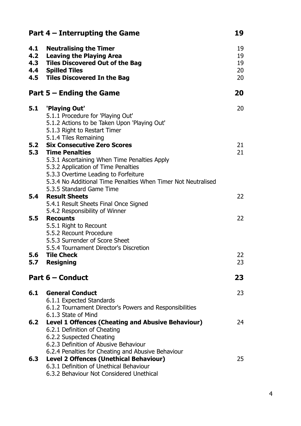| Part $4$ – Interrupting the Game |                                                                                                                                                                                                                                                       |                            |
|----------------------------------|-------------------------------------------------------------------------------------------------------------------------------------------------------------------------------------------------------------------------------------------------------|----------------------------|
| 4.1<br>4.2                       | <b>Neutralising the Timer</b><br><b>Leaving the Playing Area</b><br>4.3 Tiles Discovered Out of the Bag<br>4.4 Spilled Tiles<br>4.5 Tiles Discovered In the Bag                                                                                       | 19<br>19<br>19<br>20<br>20 |
|                                  | Part $5 -$ Ending the Game                                                                                                                                                                                                                            | 20                         |
| 5.1                              | 'Playing Out'<br>5.1.1 Procedure for 'Playing Out'<br>5.1.2 Actions to be Taken Upon 'Playing Out'<br>5.1.3 Right to Restart Timer<br>5.1.4 Tiles Remaining                                                                                           | 20                         |
|                                  | <b>5.2 Six Consecutive Zero Scores</b>                                                                                                                                                                                                                | 21                         |
|                                  | <b>5.3 Time Penalties</b><br>5.3.1 Ascertaining When Time Penalties Apply<br>5.3.2 Application of Time Penalties<br>5.3.3 Overtime Leading to Forfeiture<br>5.3.4 No Additional Time Penalties When Timer Not Neutralised<br>5.3.5 Standard Game Time | 21                         |
|                                  | <b>5.4 Result Sheets</b><br>5.4.1 Result Sheets Final Once Signed<br>5.4.2 Responsibility of Winner                                                                                                                                                   | 22                         |
|                                  | 5.5 Recounts<br>5.5.1 Right to Recount<br>5.5.2 Recount Procedure<br>5.5.3 Surrender of Score Sheet<br>5.5.4 Tournament Director's Discretion                                                                                                         | 22                         |
| 5.6                              | <b>Tile Check</b>                                                                                                                                                                                                                                     | 22                         |
| 5.7                              | <b>Resigning</b>                                                                                                                                                                                                                                      | 23                         |
|                                  | Part 6 – Conduct                                                                                                                                                                                                                                      | 23                         |
| 6.1                              | <b>General Conduct</b><br>6.1.1 Expected Standards<br>6.1.2 Tournament Director's Powers and Responsibilities<br>6.1.3 State of Mind                                                                                                                  | 23                         |
|                                  | 6.2 Level 1 Offences (Cheating and Abusive Behaviour)<br>6.2.1 Definition of Cheating<br>6.2.2 Suspected Cheating<br>6.2.3 Definition of Abusive Behaviour                                                                                            | 24                         |
| 6.3                              | 6.2.4 Penalties for Cheating and Abusive Behaviour<br><b>Level 2 Offences (Unethical Behaviour)</b><br>6.3.1 Definition of Unethical Behaviour<br>6.3.2 Behaviour Not Considered Unethical                                                            | 25                         |

4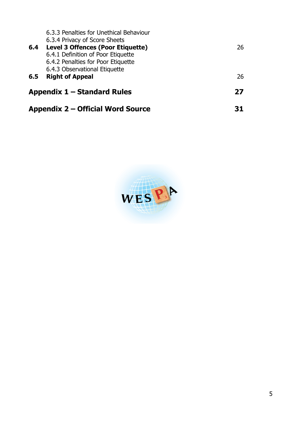| Appendix 2 – Official Word Source |                                                                                                                                                            |    |
|-----------------------------------|------------------------------------------------------------------------------------------------------------------------------------------------------------|----|
| Appendix $1 -$ Standard Rules     |                                                                                                                                                            | 27 |
| 6.5                               | 6.4.2 Penalties for Poor Etiquette<br>6.4.3 Observational Etiquette<br><b>Right of Appeal</b>                                                              | 26 |
| 6.4                               | 6.3.3 Penalties for Unethical Behaviour<br>6.3.4 Privacy of Score Sheets<br><b>Level 3 Offences (Poor Etiquette)</b><br>6.4.1 Definition of Poor Etiquette | 26 |

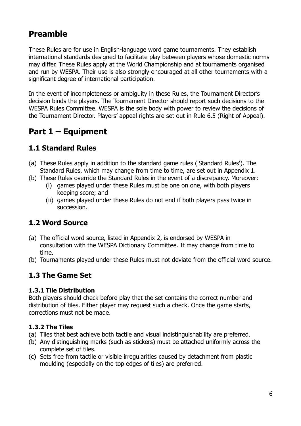## **Preamble**

These Rules are for use in English-language word game tournaments. They establish international standards designed to facilitate play between players whose domestic norms may differ. These Rules apply at the World Championship and at tournaments organised and run by WESPA. Their use is also strongly encouraged at all other tournaments with a significant degree of international participation.

In the event of incompleteness or ambiguity in these Rules, the Tournament Director's decision binds the players. The Tournament Director should report such decisions to the WESPA Rules Committee. WESPA is the sole body with power to review the decisions of the Tournament Director. Players' appeal rights are set out in Rule 6.5 (Right of Appeal).

## **Part 1 – Equipment**

## **1.1 Standard Rules**

- (a) These Rules apply in addition to the standard game rules ('Standard Rules'). The Standard Rules, which may change from time to time, are set out in Appendix 1.
- (b) These Rules override the Standard Rules in the event of a discrepancy. Moreover:
	- (i) games played under these Rules must be one on one, with both players keeping score; and
	- (ii) games played under these Rules do not end if both players pass twice in succession.

## **1.2 Word Source**

- (a) The official word source, listed in Appendix 2, is endorsed by WESPA in consultation with the WESPA Dictionary Committee. It may change from time to time.
- (b) Tournaments played under these Rules must not deviate from the official word source.

## **1.3 The Game Set**

### **1.3.1 Tile Distribution**

Both players should check before play that the set contains the correct number and distribution of tiles. Either player may request such a check. Once the game starts, corrections must not be made.

## **1.3.2 The Tiles**

- (a) Tiles that best achieve both tactile and visual indistinguishability are preferred.
- (b) Any distinguishing marks (such as stickers) must be attached uniformly across the complete set of tiles.
- (c) Sets free from tactile or visible irregularities caused by detachment from plastic moulding (especially on the top edges of tiles) are preferred.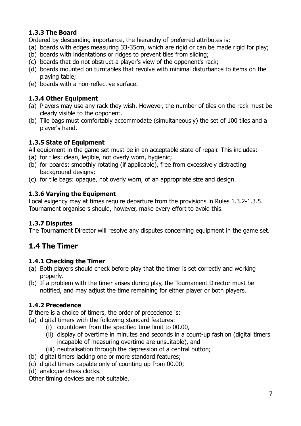## **1.3.3 The Board**

Ordered by descending importance, the hierarchy of preferred attributes is:

- (a) boards with edges measuring 33-35cm, which are rigid or can be made rigid for play;
- (b) boards with indentations or ridges to prevent tiles from sliding;
- (c) boards that do not obstruct a player's view of the opponent's rack;
- (d) boards mounted on turntables that revolve with minimal disturbance to items on the playing table;
- (e) boards with a non-reflective surface.

### **1.3.4 Other Equipment**

- (a) Players may use any rack they wish. However, the number of tiles on the rack must be clearly visible to the opponent.
- (b) Tile bags must comfortably accommodate (simultaneously) the set of 100 tiles and a player's hand.

## **1.3.5 State of Equipment**

All equipment in the game set must be in an acceptable state of repair. This includes:

- (a) for tiles: clean, legible, not overly worn, hygienic;
- (b) for boards: smoothly rotating (if applicable), free from excessively distracting background designs;
- (c) for tile bags: opaque, not overly worn, of an appropriate size and design.

## **1.3.6 Varying the Equipment**

Local exigency may at times require departure from the provisions in Rules 1.3.2-1.3.5. Tournament organisers should, however, make every effort to avoid this.

## **1.3.7 Disputes**

The Tournament Director will resolve any disputes concerning equipment in the game set.

## **1.4 The Timer**

## **1.4.1 Checking the Timer**

- (a) Both players should check before play that the timer is set correctly and working properly.
- (b) If a problem with the timer arises during play, the Tournament Director must be notified, and may adjust the time remaining for either player or both players.

## **1.4.2 Precedence**

If there is a choice of timers, the order of precedence is:

- (a) digital timers with the following standard features:
	- (i) countdown from the specified time limit to 00.00,
	- (ii) display of overtime in minutes and seconds in a count-up fashion (digital timers incapable of measuring overtime are unsuitable), and
	- (iii) neutralisation through the depression of a central button;
- (b) digital timers lacking one or more standard features;
- (c) digital timers capable only of counting up from 00.00;
- (d) analogue chess clocks.

Other timing devices are not suitable.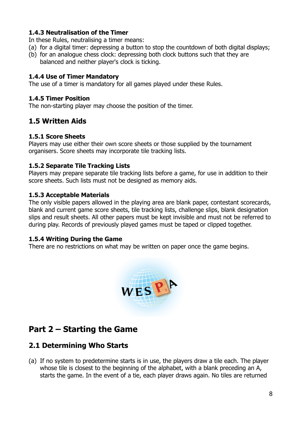#### **1.4.3 Neutralisation of the Timer**

In these Rules, neutralising a timer means:

- (a) for a digital timer: depressing a button to stop the countdown of both digital displays;
- (b) for an analogue chess clock: depressing both clock buttons such that they are balanced and neither player's clock is ticking.

#### **1.4.4 Use of Timer Mandatory**

The use of a timer is mandatory for all games played under these Rules.

#### **1.4.5 Timer Position**

The non-starting player may choose the position of the timer.

## **1.5 Written Aids**

#### **1.5.1 Score Sheets**

Players may use either their own score sheets or those supplied by the tournament organisers. Score sheets may incorporate tile tracking lists.

#### **1.5.2 Separate Tile Tracking Lists**

Players may prepare separate tile tracking lists before a game, for use in addition to their score sheets. Such lists must not be designed as memory aids.

#### **1.5.3 Acceptable Materials**

The only visible papers allowed in the playing area are blank paper, contestant scorecards, blank and current game score sheets, tile tracking lists, challenge slips, blank designation slips and result sheets. All other papers must be kept invisible and must not be referred to during play. Records of previously played games must be taped or clipped together.

#### **1.5.4 Writing During the Game**

There are no restrictions on what may be written on paper once the game begins.



## **Part 2 – Starting the Game**

## **2.1 Determining Who Starts**

(a) If no system to predetermine starts is in use, the players draw a tile each. The player whose tile is closest to the beginning of the alphabet, with a blank preceding an A, starts the game. In the event of a tie, each player draws again. No tiles are returned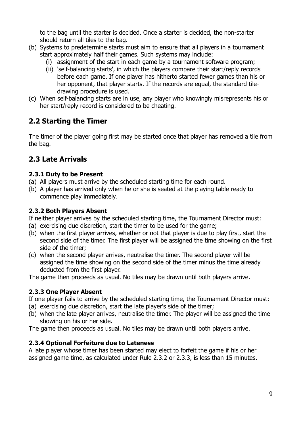to the bag until the starter is decided. Once a starter is decided, the non-starter should return all tiles to the bag.

- (b) Systems to predetermine starts must aim to ensure that all players in a tournament start approximately half their games. Such systems may include:
	- (i) assignment of the start in each game by a tournament software program;
	- (ii) 'self-balancing starts', in which the players compare their start/reply records before each game. If one player has hitherto started fewer games than his or her opponent, that player starts. If the records are equal, the standard tiledrawing procedure is used.
- (c) When self-balancing starts are in use, any player who knowingly misrepresents his or her start/reply record is considered to be cheating.

## **2.2 Starting the Timer**

The timer of the player going first may be started once that player has removed a tile from the bag.

## **2.3 Late Arrivals**

### **2.3.1 Duty to be Present**

- (a) All players must arrive by the scheduled starting time for each round.
- (b) A player has arrived only when he or she is seated at the playing table ready to commence play immediately.

### **2.3.2 Both Players Absent**

If neither player arrives by the scheduled starting time, the Tournament Director must:

- (a) exercising due discretion, start the timer to be used for the game;
- (b) when the first player arrives, whether or not that player is due to play first, start the second side of the timer. The first player will be assigned the time showing on the first side of the timer;
- (c) when the second player arrives, neutralise the timer. The second player will be assigned the time showing on the second side of the timer minus the time already deducted from the first player.

The game then proceeds as usual. No tiles may be drawn until both players arrive.

### **2.3.3 One Player Absent**

If one player fails to arrive by the scheduled starting time, the Tournament Director must:

- (a) exercising due discretion, start the late player's side of the timer;
- (b) when the late player arrives, neutralise the timer. The player will be assigned the time showing on his or her side.

The game then proceeds as usual. No tiles may be drawn until both players arrive.

### **2.3.4 Optional Forfeiture due to Lateness**

A late player whose timer has been started may elect to forfeit the game if his or her assigned game time, as calculated under Rule 2.3.2 or 2.3.3, is less than 15 minutes.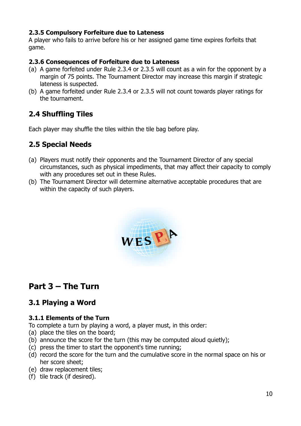#### **2.3.5 Compulsory Forfeiture due to Lateness**

A player who fails to arrive before his or her assigned game time expires forfeits that game.

#### **2.3.6 Consequences of Forfeiture due to Lateness**

- (a) A game forfeited under Rule 2.3.4 or 2.3.5 will count as a win for the opponent by a margin of 75 points. The Tournament Director may increase this margin if strategic lateness is suspected.
- (b) A game forfeited under Rule 2.3.4 or 2.3.5 will not count towards player ratings for the tournament.

## **2.4 Shuffling Tiles**

Each player may shuffle the tiles within the tile bag before play.

## **2.5 Special Needs**

- (a) Players must notify their opponents and the Tournament Director of any special circumstances, such as physical impediments, that may affect their capacity to comply with any procedures set out in these Rules.
- (b) The Tournament Director will determine alternative acceptable procedures that are within the capacity of such players.



## **Part 3 – The Turn**

## **3.1 Playing a Word**

### **3.1.1 Elements of the Turn**

To complete a turn by playing a word, a player must, in this order:

- (a) place the tiles on the board;
- (b) announce the score for the turn (this may be computed aloud quietly);
- (c) press the timer to start the opponent's time running;
- (d) record the score for the turn and the cumulative score in the normal space on his or her score sheet;
- (e) draw replacement tiles;
- (f) tile track (if desired).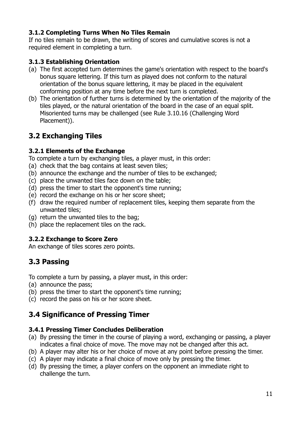### **3.1.2 Completing Turns When No Tiles Remain**

If no tiles remain to be drawn, the writing of scores and cumulative scores is not a required element in completing a turn.

#### **3.1.3 Establishing Orientation**

- (a) The first accepted turn determines the game's orientation with respect to the board's bonus square lettering. If this turn as played does not conform to the natural orientation of the bonus square lettering, it may be placed in the equivalent conforming position at any time before the next turn is completed.
- (b) The orientation of further turns is determined by the orientation of the majority of the tiles played, or the natural orientation of the board in the case of an equal split. Misoriented turns may be challenged (see Rule 3.10.16 (Challenging Word Placement)).

## **3.2 Exchanging Tiles**

#### **3.2.1 Elements of the Exchange**

To complete a turn by exchanging tiles, a player must, in this order:

- (a) check that the bag contains at least seven tiles;
- (b) announce the exchange and the number of tiles to be exchanged;
- (c) place the unwanted tiles face down on the table;
- (d) press the timer to start the opponent's time running;
- (e) record the exchange on his or her score sheet;
- (f) draw the required number of replacement tiles, keeping them separate from the unwanted tiles;
- (g) return the unwanted tiles to the bag;
- (h) place the replacement tiles on the rack.

#### **3.2.2 Exchange to Score Zero**

An exchange of tiles scores zero points.

## **3.3 Passing**

To complete a turn by passing, a player must, in this order:

- (a) announce the pass;
- (b) press the timer to start the opponent's time running;
- (c) record the pass on his or her score sheet.

## **3.4 Significance of Pressing Timer**

#### **3.4.1 Pressing Timer Concludes Deliberation**

- (a) By pressing the timer in the course of playing a word, exchanging or passing, a player indicates a final choice of move. The move may not be changed after this act.
- (b) A player may alter his or her choice of move at any point before pressing the timer.
- (c) A player may indicate a final choice of move only by pressing the timer.
- (d) By pressing the timer, a player confers on the opponent an immediate right to challenge the turn.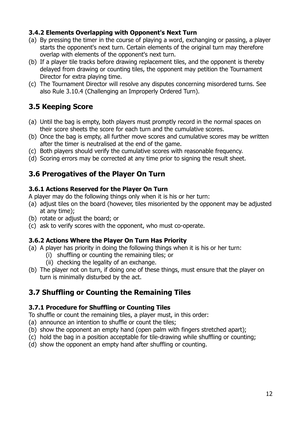### **3.4.2 Elements Overlapping with Opponent's Next Turn**

- (a) By pressing the timer in the course of playing a word, exchanging or passing, a player starts the opponent's next turn. Certain elements of the original turn may therefore overlap with elements of the opponent's next turn.
- (b) If a player tile tracks before drawing replacement tiles, and the opponent is thereby delayed from drawing or counting tiles, the opponent may petition the Tournament Director for extra playing time.
- (c) The Tournament Director will resolve any disputes concerning misordered turns. See also Rule 3.10.4 (Challenging an Improperly Ordered Turn).

## **3.5 Keeping Score**

- (a) Until the bag is empty, both players must promptly record in the normal spaces on their score sheets the score for each turn and the cumulative scores.
- (b) Once the bag is empty, all further move scores and cumulative scores may be written after the timer is neutralised at the end of the game.
- (c) Both players should verify the cumulative scores with reasonable frequency.
- (d) Scoring errors may be corrected at any time prior to signing the result sheet.

## **3.6 Prerogatives of the Player On Turn**

#### **3.6.1 Actions Reserved for the Player On Turn**

A player may do the following things only when it is his or her turn:

- (a) adjust tiles on the board (however, tiles misoriented by the opponent may be adjusted at any time);
- (b) rotate or adjust the board; or
- (c) ask to verify scores with the opponent, who must co-operate.

### **3.6.2 Actions Where the Player On Turn Has Priority**

- (a) A player has priority in doing the following things when it is his or her turn:
	- (i) shuffling or counting the remaining tiles; or
		- (ii) checking the legality of an exchange.
- (b) The player not on turn, if doing one of these things, must ensure that the player on turn is minimally disturbed by the act.

## **3.7 Shuffling or Counting the Remaining Tiles**

### **3.7.1 Procedure for Shuffling or Counting Tiles**

To shuffle or count the remaining tiles, a player must, in this order:

- (a) announce an intention to shuffle or count the tiles;
- (b) show the opponent an empty hand (open palm with fingers stretched apart);
- (c) hold the bag in a position acceptable for tile-drawing while shuffling or counting;
- (d) show the opponent an empty hand after shuffling or counting.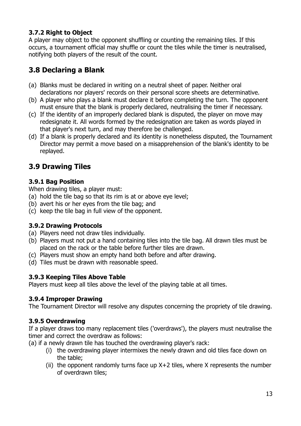## **3.7.2 Right to Object**

A player may object to the opponent shuffling or counting the remaining tiles. If this occurs, a tournament official may shuffle or count the tiles while the timer is neutralised, notifying both players of the result of the count.

## **3.8 Declaring a Blank**

- (a) Blanks must be declared in writing on a neutral sheet of paper. Neither oral declarations nor players' records on their personal score sheets are determinative.
- (b) A player who plays a blank must declare it before completing the turn. The opponent must ensure that the blank is properly declared, neutralising the timer if necessary.
- (c) If the identity of an improperly declared blank is disputed, the player on move may redesignate it. All words formed by the redesignation are taken as words played in that player's next turn, and may therefore be challenged.
- (d) If a blank is properly declared and its identity is nonetheless disputed, the Tournament Director may permit a move based on a misapprehension of the blank's identity to be replayed.

## **3.9 Drawing Tiles**

## **3.9.1 Bag Position**

When drawing tiles, a player must:

- (a) hold the tile bag so that its rim is at or above eye level;
- (b) avert his or her eyes from the tile bag; and
- (c) keep the tile bag in full view of the opponent.

### **3.9.2 Drawing Protocols**

- (a) Players need not draw tiles individually.
- (b) Players must not put a hand containing tiles into the tile bag. All drawn tiles must be placed on the rack or the table before further tiles are drawn.
- (c) Players must show an empty hand both before and after drawing.
- (d) Tiles must be drawn with reasonable speed.

### **3.9.3 Keeping Tiles Above Table**

Players must keep all tiles above the level of the playing table at all times.

### **3.9.4 Improper Drawing**

The Tournament Director will resolve any disputes concerning the propriety of tile drawing.

## **3.9.5 Overdrawing**

If a player draws too many replacement tiles ('overdraws'), the players must neutralise the timer and correct the overdraw as follows:

(a) if a newly drawn tile has touched the overdrawing player's rack:

- (i) the overdrawing player intermixes the newly drawn and old tiles face down on the table;
- (ii) the opponent randomly turns face up  $X+2$  tiles, where X represents the number of overdrawn tiles;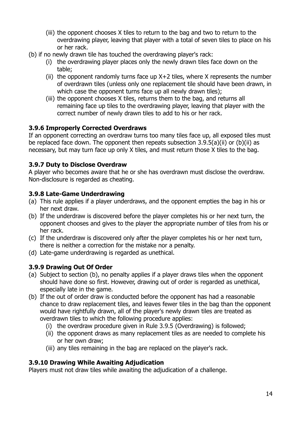- (iii) the opponent chooses X tiles to return to the bag and two to return to the overdrawing player, leaving that player with a total of seven tiles to place on his or her rack.
- (b) if no newly drawn tile has touched the overdrawing player's rack:
	- (i) the overdrawing player places only the newly drawn tiles face down on the table;
	- (ii) the opponent randomly turns face up  $X+2$  tiles, where X represents the number of overdrawn tiles (unless only one replacement tile should have been drawn, in which case the opponent turns face up all newly drawn tiles);
	- (iii) the opponent chooses X tiles, returns them to the bag, and returns all remaining face up tiles to the overdrawing player, leaving that player with the correct number of newly drawn tiles to add to his or her rack.

## **3.9.6 Improperly Corrected Overdraws**

If an opponent correcting an overdraw turns too many tiles face up, all exposed tiles must be replaced face down. The opponent then repeats subsection  $3.9.5(a)(ii)$  or  $(b)(ii)$  as necessary, but may turn face up only X tiles, and must return those X tiles to the bag.

## **3.9.7 Duty to Disclose Overdraw**

A player who becomes aware that he or she has overdrawn must disclose the overdraw. Non-disclosure is regarded as cheating.

## **3.9.8 Late-Game Underdrawing**

- (a) This rule applies if a player underdraws, and the opponent empties the bag in his or her next draw.
- (b) If the underdraw is discovered before the player completes his or her next turn, the opponent chooses and gives to the player the appropriate number of tiles from his or her rack.
- (c) If the underdraw is discovered only after the player completes his or her next turn, there is neither a correction for the mistake nor a penalty.
- (d) Late-game underdrawing is regarded as unethical.

## **3.9.9 Drawing Out Of Order**

- (a) Subject to section (b), no penalty applies if a player draws tiles when the opponent should have done so first. However, drawing out of order is regarded as unethical, especially late in the game.
- (b) If the out of order draw is conducted before the opponent has had a reasonable chance to draw replacement tiles, and leaves fewer tiles in the bag than the opponent would have rightfully drawn, all of the player's newly drawn tiles are treated as overdrawn tiles to which the following procedure applies:
	- (i) the overdraw procedure given in Rule 3.9.5 (Overdrawing) is followed;
	- (ii) the opponent draws as many replacement tiles as are needed to complete his or her own draw;
	- (iii) any tiles remaining in the bag are replaced on the player's rack.

## **3.9.10 Drawing While Awaiting Adjudication**

Players must not draw tiles while awaiting the adjudication of a challenge.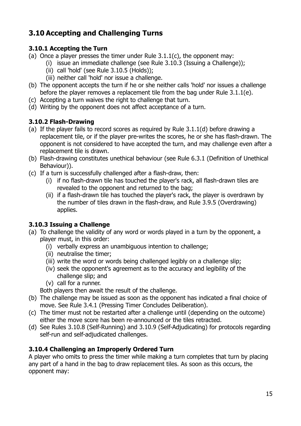## **3.10 Accepting and Challenging Turns**

## **3.10.1 Accepting the Turn**

- (a) Once a player presses the timer under Rule  $3.1.1(c)$ , the opponent may:
	- (i) issue an immediate challenge (see Rule 3.10.3 (Issuing a Challenge));
	- (ii) call 'hold' (see Rule 3.10.5 (Holds));
	- (iii) neither call 'hold' nor issue a challenge.
- (b) The opponent accepts the turn if he or she neither calls 'hold' nor issues a challenge before the player removes a replacement tile from the bag under Rule 3.1.1(e).
- (c) Accepting a turn waives the right to challenge that turn.
- (d) Writing by the opponent does not affect acceptance of a turn.

## **3.10.2 Flash-Drawing**

- (a) If the player fails to record scores as required by Rule 3.1.1(d) before drawing a replacement tile, or if the player pre-writes the scores, he or she has flash-drawn. The opponent is not considered to have accepted the turn, and may challenge even after a replacement tile is drawn.
- (b) Flash-drawing constitutes unethical behaviour (see Rule 6.3.1 (Definition of Unethical Behaviour)).
- (c) If a turn is successfully challenged after a flash-draw, then:
	- (i) if no flash-drawn tile has touched the player's rack, all flash-drawn tiles are revealed to the opponent and returned to the bag;
	- (ii) if a flash-drawn tile has touched the player's rack, the player is overdrawn by the number of tiles drawn in the flash-draw, and Rule 3.9.5 (Overdrawing) applies.

## **3.10.3 Issuing a Challenge**

- (a) To challenge the validity of any word or words played in a turn by the opponent, a player must, in this order:
	- (i) verbally express an unambiguous intention to challenge;
	- (ii) neutralise the timer;
	- (iii) write the word or words being challenged legibly on a challenge slip;
	- (iv) seek the opponent's agreement as to the accuracy and legibility of the challenge slip; and
	- (v) call for a runner.
	- Both players then await the result of the challenge.
- (b) The challenge may be issued as soon as the opponent has indicated a final choice of move. See Rule 3.4.1 (Pressing Timer Concludes Deliberation).
- (c) The timer must not be restarted after a challenge until (depending on the outcome) either the move score has been re-announced or the tiles retracted.
- (d) See Rules 3.10.8 (Self-Running) and 3.10.9 (Self-Adjudicating) for protocols regarding self-run and self-adjudicated challenges.

## **3.10.4 Challenging an Improperly Ordered Turn**

A player who omits to press the timer while making a turn completes that turn by placing any part of a hand in the bag to draw replacement tiles. As soon as this occurs, the opponent may: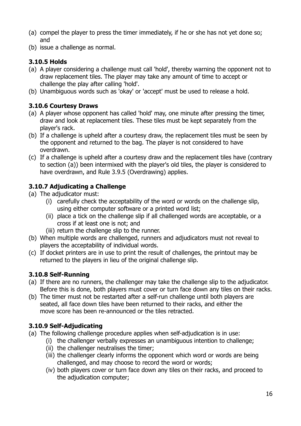- (a) compel the player to press the timer immediately, if he or she has not yet done so; and
- (b) issue a challenge as normal.

### **3.10.5 Holds**

- (a) A player considering a challenge must call 'hold', thereby warning the opponent not to draw replacement tiles. The player may take any amount of time to accept or challenge the play after calling 'hold'.
- (b) Unambiguous words such as 'okay' or 'accept' must be used to release a hold.

## **3.10.6 Courtesy Draws**

- (a) A player whose opponent has called 'hold' may, one minute after pressing the timer, draw and look at replacement tiles. These tiles must be kept separately from the player's rack.
- (b) If a challenge is upheld after a courtesy draw, the replacement tiles must be seen by the opponent and returned to the bag. The player is not considered to have overdrawn.
- (c) If a challenge is upheld after a courtesy draw and the replacement tiles have (contrary to section (a)) been intermixed with the player's old tiles, the player is considered to have overdrawn, and Rule 3.9.5 (Overdrawing) applies.

### **3.10.7 Adjudicating a Challenge**

- (a) The adjudicator must:
	- (i) carefully check the acceptability of the word or words on the challenge slip, using either computer software or a printed word list;
	- (ii) place a tick on the challenge slip if all challenged words are acceptable, or a cross if at least one is not; and
	- (iii) return the challenge slip to the runner.
- (b) When multiple words are challenged, runners and adjudicators must not reveal to players the acceptability of individual words.
- (c) If docket printers are in use to print the result of challenges, the printout may be returned to the players in lieu of the original challenge slip.

### **3.10.8 Self-Running**

- (a) If there are no runners, the challenger may take the challenge slip to the adjudicator. Before this is done, both players must cover or turn face down any tiles on their racks.
- (b) The timer must not be restarted after a self-run challenge until both players are seated, all face down tiles have been returned to their racks, and either the move score has been re-announced or the tiles retracted.

### **3.10.9 Self-Adjudicating**

- (a) The following challenge procedure applies when self-adjudication is in use:
	- (i) the challenger verbally expresses an unambiguous intention to challenge;
	- (ii) the challenger neutralises the timer;
	- (iii) the challenger clearly informs the opponent which word or words are being challenged, and may choose to record the word or words;
	- (iv) both players cover or turn face down any tiles on their racks, and proceed to the adjudication computer;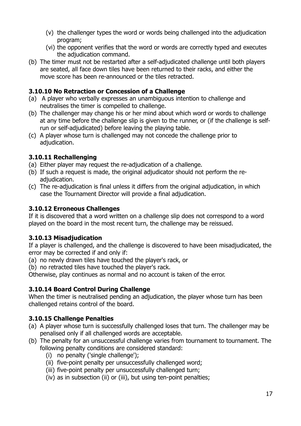- (v) the challenger types the word or words being challenged into the adjudication program;
- (vi) the opponent verifies that the word or words are correctly typed and executes the adjudication command.
- (b) The timer must not be restarted after a self-adjudicated challenge until both players are seated, all face down tiles have been returned to their racks, and either the move score has been re-announced or the tiles retracted.

### **3.10.10 No Retraction or Concession of a Challenge**

- (a) A player who verbally expresses an unambiguous intention to challenge and neutralises the timer is compelled to challenge.
- (b) The challenger may change his or her mind about which word or words to challenge at any time before the challenge slip is given to the runner, or (if the challenge is selfrun or self-adjudicated) before leaving the playing table.
- (c) A player whose turn is challenged may not concede the challenge prior to adjudication.

## **3.10.11 Rechallenging**

- (a) Either player may request the re-adjudication of a challenge.
- (b) If such a request is made, the original adjudicator should not perform the readjudication.
- (c) The re-adjudication is final unless it differs from the original adjudication, in which case the Tournament Director will provide a final adjudication.

## **3.10.12 Erroneous Challenges**

If it is discovered that a word written on a challenge slip does not correspond to a word played on the board in the most recent turn, the challenge may be reissued.

### **3.10.13 Misadjudication**

If a player is challenged, and the challenge is discovered to have been misadjudicated, the error may be corrected if and only if:

(a) no newly drawn tiles have touched the player's rack, or

(b) no retracted tiles have touched the player's rack.

Otherwise, play continues as normal and no account is taken of the error.

## **3.10.14 Board Control During Challenge**

When the timer is neutralised pending an adjudication, the player whose turn has been challenged retains control of the board.

## **3.10.15 Challenge Penalties**

- (a) A player whose turn is successfully challenged loses that turn. The challenger may be penalised only if all challenged words are acceptable.
- (b) The penalty for an unsuccessful challenge varies from tournament to tournament. The following penalty conditions are considered standard:
	- (i) no penalty ('single challenge');
	- (ii) five-point penalty per unsuccessfully challenged word;
	- (iii) five-point penalty per unsuccessfully challenged turn;
	- (iv) as in subsection (ii) or (iii), but using ten-point penalties;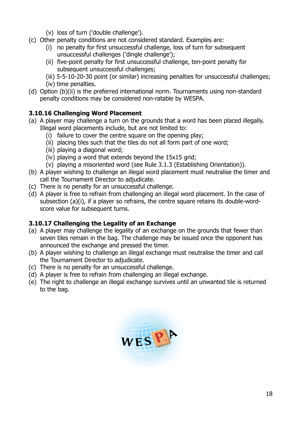- (v) loss of turn ('double challenge').
- (c) Other penalty conditions are not considered standard. Examples are:
	- (i) no penalty for first unsuccessful challenge, loss of turn for subsequent unsuccessful challenges ('dingle challenge');
	- (ii) five-point penalty for first unsuccessful challenge, ten-point penalty for subsequent unsuccessful challenges;
	- (iii) 5-5-10-20-30 point (or similar) increasing penalties for unsuccessful challenges;
	- (iv) time penalties.
- (d) Option (b)(ii) is the preferred international norm. Tournaments using non-standard penalty conditions may be considered non-ratable by WESPA.

## **3.10.16 Challenging Word Placement**

- (a) A player may challenge a turn on the grounds that a word has been placed illegally. Illegal word placements include, but are not limited to:
	- (i) failure to cover the centre square on the opening play;
	- (ii) placing tiles such that the tiles do not all form part of one word;
	- (iii) playing a diagonal word;
	- (iv) playing a word that extends beyond the 15x15 grid;
	- (v) playing a misoriented word (see Rule 3.1.3 (Establishing Orientation)).
- (b) A player wishing to challenge an illegal word placement must neutralise the timer and call the Tournament Director to adjudicate.
- (c) There is no penalty for an unsuccessful challenge.
- (d) A player is free to refrain from challenging an illegal word placement. In the case of subsection (a)(i), if a player so refrains, the centre square retains its double-wordscore value for subsequent turns.

## **3.10.17 Challenging the Legality of an Exchange**

- (a) A player may challenge the legality of an exchange on the grounds that fewer than seven tiles remain in the bag. The challenge may be issued once the opponent has announced the exchange and pressed the timer.
- (b) A player wishing to challenge an illegal exchange must neutralise the timer and call the Tournament Director to adjudicate.
- (c) There is no penalty for an unsuccessful challenge.
- (d) A player is free to refrain from challenging an illegal exchange.
- (e) The right to challenge an illegal exchange survives until an unwanted tile is returned to the bag.

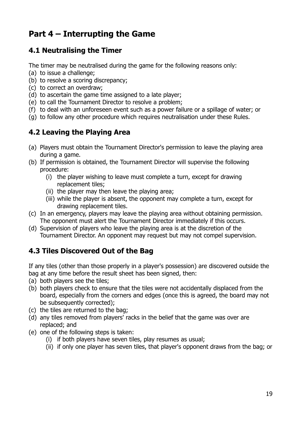## **Part 4 – Interrupting the Game**

## **4.1 Neutralising the Timer**

The timer may be neutralised during the game for the following reasons only:

- (a) to issue a challenge;
- (b) to resolve a scoring discrepancy;
- (c) to correct an overdraw;
- (d) to ascertain the game time assigned to a late player;
- (e) to call the Tournament Director to resolve a problem;
- (f) to deal with an unforeseen event such as a power failure or a spillage of water; or
- (g) to follow any other procedure which requires neutralisation under these Rules.

## **4.2 Leaving the Playing Area**

- (a) Players must obtain the Tournament Director's permission to leave the playing area during a game.
- (b) If permission is obtained, the Tournament Director will supervise the following procedure:
	- (i) the player wishing to leave must complete a turn, except for drawing replacement tiles;
	- (ii) the player may then leave the playing area;
	- (iii) while the player is absent, the opponent may complete a turn, except for drawing replacement tiles.
- (c) In an emergency, players may leave the playing area without obtaining permission. The opponent must alert the Tournament Director immediately if this occurs.
- (d) Supervision of players who leave the playing area is at the discretion of the Tournament Director. An opponent may request but may not compel supervision.

## **4.3 Tiles Discovered Out of the Bag**

If any tiles (other than those properly in a player's possession) are discovered outside the bag at any time before the result sheet has been signed, then:

- (a) both players see the tiles;
- (b) both players check to ensure that the tiles were not accidentally displaced from the board, especially from the corners and edges (once this is agreed, the board may not be subsequently corrected);
- (c) the tiles are returned to the bag;
- (d) any tiles removed from players' racks in the belief that the game was over are replaced; and
- (e) one of the following steps is taken:
	- (i) if both players have seven tiles, play resumes as usual;
	- (ii) if only one player has seven tiles, that player's opponent draws from the bag; or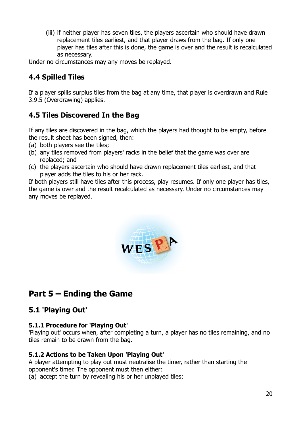(iii) if neither player has seven tiles, the players ascertain who should have drawn replacement tiles earliest, and that player draws from the bag. If only one player has tiles after this is done, the game is over and the result is recalculated as necessary.

Under no circumstances may any moves be replayed.

## **4.4 Spilled Tiles**

If a player spills surplus tiles from the bag at any time, that player is overdrawn and Rule 3.9.5 (Overdrawing) applies.

## **4.5 Tiles Discovered In the Bag**

If any tiles are discovered in the bag, which the players had thought to be empty, before the result sheet has been signed, then:

- (a) both players see the tiles;
- (b) any tiles removed from players' racks in the belief that the game was over are replaced; and
- (c) the players ascertain who should have drawn replacement tiles earliest, and that player adds the tiles to his or her rack.

If both players still have tiles after this process, play resumes. If only one player has tiles, the game is over and the result recalculated as necessary. Under no circumstances may any moves be replayed.



## **Part 5 – Ending the Game**

## **5.1 'Playing Out'**

### **5.1.1 Procedure for 'Playing Out'**

'Playing out' occurs when, after completing a turn, a player has no tiles remaining, and no tiles remain to be drawn from the bag.

### **5.1.2 Actions to be Taken Upon 'Playing Out'**

A player attempting to play out must neutralise the timer, rather than starting the opponent's timer. The opponent must then either:

(a) accept the turn by revealing his or her unplayed tiles;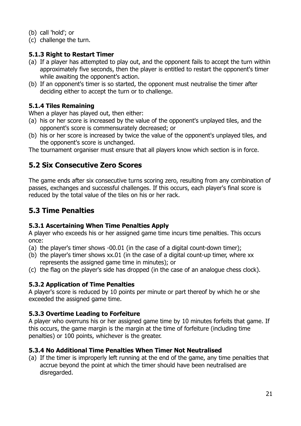(b) call 'hold'; or

(c) challenge the turn.

## **5.1.3 Right to Restart Timer**

- (a) If a player has attempted to play out, and the opponent fails to accept the turn within approximately five seconds, then the player is entitled to restart the opponent's timer while awaiting the opponent's action.
- (b) If an opponent's timer is so started, the opponent must neutralise the timer after deciding either to accept the turn or to challenge.

## **5.1.4 Tiles Remaining**

When a player has played out, then either:

- (a) his or her score is increased by the value of the opponent's unplayed tiles, and the opponent's score is commensurately decreased; or
- (b) his or her score is increased by twice the value of the opponent's unplayed tiles, and the opponent's score is unchanged.

The tournament organiser must ensure that all players know which section is in force.

## **5.2 Six Consecutive Zero Scores**

The game ends after six consecutive turns scoring zero, resulting from any combination of passes, exchanges and successful challenges. If this occurs, each player's final score is reduced by the total value of the tiles on his or her rack.

## **5.3 Time Penalties**

### **5.3.1 Ascertaining When Time Penalties Apply**

A player who exceeds his or her assigned game time incurs time penalties. This occurs once:

- (a) the player's timer shows -00.01 (in the case of a digital count-down timer);
- (b) the player's timer shows xx.01 (in the case of a digital count-up timer, where xx represents the assigned game time in minutes); or
- (c) the flag on the player's side has dropped (in the case of an analogue chess clock).

## **5.3.2 Application of Time Penalties**

A player's score is reduced by 10 points per minute or part thereof by which he or she exceeded the assigned game time.

## **5.3.3 Overtime Leading to Forfeiture**

A player who overruns his or her assigned game time by 10 minutes forfeits that game. If this occurs, the game margin is the margin at the time of forfeiture (including time penalties) or 100 points, whichever is the greater.

### **5.3.4 No Additional Time Penalties When Timer Not Neutralised**

(a) If the timer is improperly left running at the end of the game, any time penalties that accrue beyond the point at which the timer should have been neutralised are disregarded.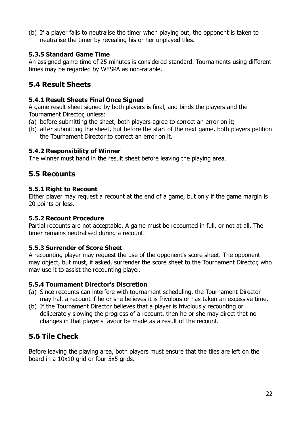(b) If a player fails to neutralise the timer when playing out, the opponent is taken to neutralise the timer by revealing his or her unplayed tiles.

#### **5.3.5 Standard Game Time**

An assigned game time of 25 minutes is considered standard. Tournaments using different times may be regarded by WESPA as non-ratable.

## **5.4 Result Sheets**

#### **5.4.1 Result Sheets Final Once Signed**

A game result sheet signed by both players is final, and binds the players and the Tournament Director, unless:

- (a) before submitting the sheet, both players agree to correct an error on it;
- (b) after submitting the sheet, but before the start of the next game, both players petition the Tournament Director to correct an error on it.

#### **5.4.2 Responsibility of Winner**

The winner must hand in the result sheet before leaving the playing area.

## **5.5 Recounts**

#### **5.5.1 Right to Recount**

Either player may request a recount at the end of a game, but only if the game margin is 20 points or less.

#### **5.5.2 Recount Procedure**

Partial recounts are not acceptable. A game must be recounted in full, or not at all. The timer remains neutralised during a recount.

### **5.5.3 Surrender of Score Sheet**

A recounting player may request the use of the opponent's score sheet. The opponent may object, but must, if asked, surrender the score sheet to the Tournament Director, who may use it to assist the recounting player.

### **5.5.4 Tournament Director's Discretion**

- (a) Since recounts can interfere with tournament scheduling, the Tournament Director may halt a recount if he or she believes it is frivolous or has taken an excessive time.
- (b) If the Tournament Director believes that a player is frivolously recounting or deliberately slowing the progress of a recount, then he or she may direct that no changes in that player's favour be made as a result of the recount.

## **5.6 Tile Check**

Before leaving the playing area, both players must ensure that the tiles are left on the board in a 10x10 grid or four 5x5 grids.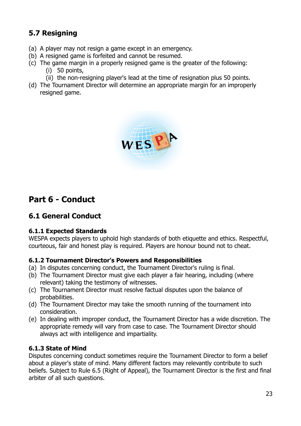## **5.7 Resigning**

- (a) A player may not resign a game except in an emergency.
- (b) A resigned game is forfeited and cannot be resumed.
- (c) The game margin in a properly resigned game is the greater of the following: (i) 50 points,
	- (ii) the non-resigning player's lead at the time of resignation plus 50 points.
- (d) The Tournament Director will determine an appropriate margin for an improperly resigned game.



## **Part 6 - Conduct**

## **6.1 General Conduct**

#### **6.1.1 Expected Standards**

WESPA expects players to uphold high standards of both etiquette and ethics. Respectful, courteous, fair and honest play is required. Players are honour bound not to cheat.

#### **6.1.2 Tournament Director's Powers and Responsibilities**

- (a) In disputes concerning conduct, the Tournament Director's ruling is final.
- (b) The Tournament Director must give each player a fair hearing, including (where relevant) taking the testimony of witnesses.
- (c) The Tournament Director must resolve factual disputes upon the balance of probabilities.
- (d) The Tournament Director may take the smooth running of the tournament into consideration.
- (e) In dealing with improper conduct, the Tournament Director has a wide discretion. The appropriate remedy will vary from case to case. The Tournament Director should always act with intelligence and impartiality.

### **6.1.3 State of Mind**

Disputes concerning conduct sometimes require the Tournament Director to form a belief about a player's state of mind. Many different factors may relevantly contribute to such beliefs. Subject to Rule 6.5 (Right of Appeal), the Tournament Director is the first and final arbiter of all such questions.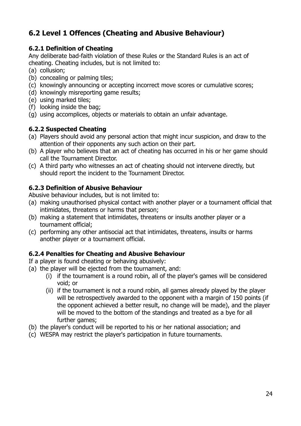## **6.2 Level 1 Offences (Cheating and Abusive Behaviour)**

## **6.2.1 Definition of Cheating**

Any deliberate bad-faith violation of these Rules or the Standard Rules is an act of cheating. Cheating includes, but is not limited to:

- (a) collusion;
- (b) concealing or palming tiles;
- (c) knowingly announcing or accepting incorrect move scores or cumulative scores;
- (d) knowingly misreporting game results;
- (e) using marked tiles;
- (f) looking inside the bag;
- (g) using accomplices, objects or materials to obtain an unfair advantage.

## **6.2.2 Suspected Cheating**

- (a) Players should avoid any personal action that might incur suspicion, and draw to the attention of their opponents any such action on their part.
- (b) A player who believes that an act of cheating has occurred in his or her game should call the Tournament Director.
- (c) A third party who witnesses an act of cheating should not intervene directly, but should report the incident to the Tournament Director.

## **6.2.3 Definition of Abusive Behaviour**

Abusive behaviour includes, but is not limited to:

- (a) making unauthorised physical contact with another player or a tournament official that intimidates, threatens or harms that person;
- (b) making a statement that intimidates, threatens or insults another player or a tournament official;
- (c) performing any other antisocial act that intimidates, threatens, insults or harms another player or a tournament official.

### **6.2.4 Penalties for Cheating and Abusive Behaviour**

If a player is found cheating or behaving abusively:

- (a) the player will be ejected from the tournament, and:
	- (i) if the tournament is a round robin, all of the player's games will be considered void; or
	- (ii) if the tournament is not a round robin, all games already played by the player will be retrospectively awarded to the opponent with a margin of 150 points (if the opponent achieved a better result, no change will be made), and the player will be moved to the bottom of the standings and treated as a bye for all further games;
- (b) the player's conduct will be reported to his or her national association; and
- (c) WESPA may restrict the player's participation in future tournaments.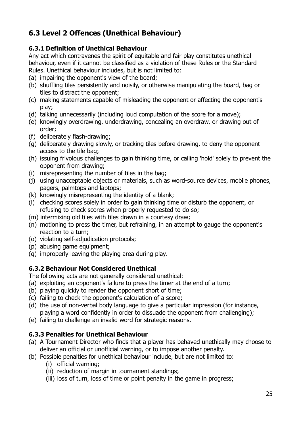## **6.3 Level 2 Offences (Unethical Behaviour)**

## **6.3.1 Definition of Unethical Behaviour**

Any act which contravenes the spirit of equitable and fair play constitutes unethical behaviour, even if it cannot be classified as a violation of these Rules or the Standard Rules. Unethical behaviour includes, but is not limited to:

- (a) impairing the opponent's view of the board;
- (b) shuffling tiles persistently and noisily, or otherwise manipulating the board, bag or tiles to distract the opponent;
- (c) making statements capable of misleading the opponent or affecting the opponent's play;
- (d) talking unnecessarily (including loud computation of the score for a move);
- (e) knowingly overdrawing, underdrawing, concealing an overdraw, or drawing out of order;
- (f) deliberately flash-drawing;
- (g) deliberately drawing slowly, or tracking tiles before drawing, to deny the opponent access to the tile bag;
- (h) issuing frivolous challenges to gain thinking time, or calling 'hold' solely to prevent the opponent from drawing;
- (i) misrepresenting the number of tiles in the bag;
- (j) using unacceptable objects or materials, such as word-source devices, mobile phones, pagers, palmtops and laptops;
- (k) knowingly misrepresenting the identity of a blank;
- (l) checking scores solely in order to gain thinking time or disturb the opponent, or refusing to check scores when properly requested to do so;
- (m) intermixing old tiles with tiles drawn in a courtesy draw;
- (n) motioning to press the timer, but refraining, in an attempt to gauge the opponent's reaction to a turn;
- (o) violating self-adjudication protocols;
- (p) abusing game equipment;
- (q) improperly leaving the playing area during play.

## **6.3.2 Behaviour Not Considered Unethical**

The following acts are not generally considered unethical:

- (a) exploiting an opponent's failure to press the timer at the end of a turn;
- (b) playing quickly to render the opponent short of time;
- (c) failing to check the opponent's calculation of a score;
- (d) the use of non-verbal body language to give a particular impression (for instance, playing a word confidently in order to dissuade the opponent from challenging);
- (e) failing to challenge an invalid word for strategic reasons.

### **6.3.3 Penalties for Unethical Behaviour**

- (a) A Tournament Director who finds that a player has behaved unethically may choose to deliver an official or unofficial warning, or to impose another penalty.
- (b) Possible penalties for unethical behaviour include, but are not limited to:
	- (i) official warning;
	- (ii) reduction of margin in tournament standings;
	- (iii) loss of turn, loss of time or point penalty in the game in progress;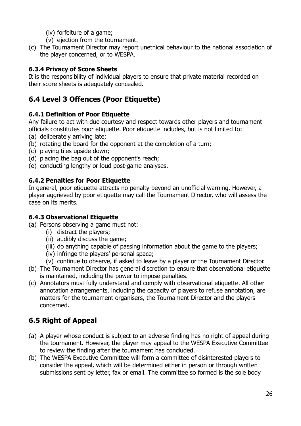- (iv) forfeiture of a game;
- (v) ejection from the tournament.
- (c) The Tournament Director may report unethical behaviour to the national association of the player concerned, or to WESPA.

## **6.3.4 Privacy of Score Sheets**

It is the responsibility of individual players to ensure that private material recorded on their score sheets is adequately concealed.

## **6.4 Level 3 Offences (Poor Etiquette)**

### **6.4.1 Definition of Poor Etiquette**

Any failure to act with due courtesy and respect towards other players and tournament officials constitutes poor etiquette. Poor etiquette includes, but is not limited to:

- (a) deliberately arriving late;
- (b) rotating the board for the opponent at the completion of a turn;
- (c) playing tiles upside down;
- (d) placing the bag out of the opponent's reach;
- (e) conducting lengthy or loud post-game analyses.

## **6.4.2 Penalties for Poor Etiquette**

In general, poor etiquette attracts no penalty beyond an unofficial warning. However, a player aggrieved by poor etiquette may call the Tournament Director, who will assess the case on its merits.

### **6.4.3 Observational Etiquette**

- (a) Persons observing a game must not:
	- (i) distract the players;
	- (ii) audibly discuss the game;
	- (iii) do anything capable of passing information about the game to the players;
	- (iv) infringe the players' personal space;
	- (v) continue to observe, if asked to leave by a player or the Tournament Director.
- (b) The Tournament Director has general discretion to ensure that observational etiquette is maintained, including the power to impose penalties.
- (c) Annotators must fully understand and comply with observational etiquette. All other annotation arrangements, including the capacity of players to refuse annotation, are matters for the tournament organisers, the Tournament Director and the players concerned.

## **6.5 Right of Appeal**

- (a) A player whose conduct is subject to an adverse finding has no right of appeal during the tournament. However, the player may appeal to the WESPA Executive Committee to review the finding after the tournament has concluded.
- (b) The WESPA Executive Committee will form a committee of disinterested players to consider the appeal, which will be determined either in person or through written submissions sent by letter, fax or email. The committee so formed is the sole body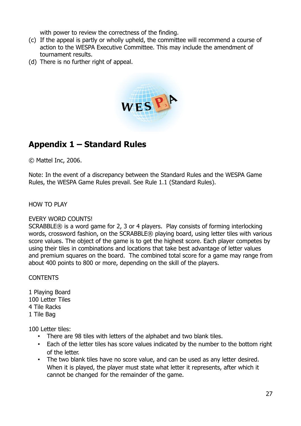with power to review the correctness of the finding.

- (c) If the appeal is partly or wholly upheld, the committee will recommend a course of action to the WESPA Executive Committee. This may include the amendment of tournament results.
- (d) There is no further right of appeal.



## **Appendix 1 – Standard Rules**

© Mattel Inc, 2006.

Note: In the event of a discrepancy between the Standard Rules and the WESPA Game Rules, the WESPA Game Rules prevail. See Rule 1.1 (Standard Rules).

#### HOW TO PLAY

#### EVERY WORD COUNTS!

SCRABBLE® is a word game for 2, 3 or 4 players. Play consists of forming interlocking words, crossword fashion, on the SCRABBLE® playing board, using letter tiles with various score values. The object of the game is to get the highest score. Each player competes by using their tiles in combinations and locations that take best advantage of letter values and premium squares on the board. The combined total score for a game may range from about 400 points to 800 or more, depending on the skill of the players.

CONTENTS

1 Playing Board 100 Letter Tiles 4 Tile Racks 1 Tile Bag

100 Letter tiles:

- There are 98 tiles with letters of the alphabet and two blank tiles.
- Each of the letter tiles has score values indicated by the number to the bottom right of the letter.
- The two blank tiles have no score value, and can be used as any letter desired. When it is played, the player must state what letter it represents, after which it cannot be changed for the remainder of the game.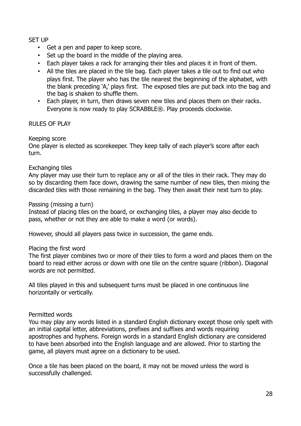#### SET UP

- Get a pen and paper to keep score.
- Set up the board in the middle of the playing area.
- Each player takes a rack for arranging their tiles and places it in front of them.
- All the tiles are placed in the tile bag. Each player takes a tile out to find out who plays first. The player who has the tile nearest the beginning of the alphabet, with the blank preceding 'A,' plays first. The exposed tiles are put back into the bag and the bag is shaken to shuffle them.
- Each player, in turn, then draws seven new tiles and places them on their racks. Everyone is now ready to play SCRABBLE®. Play proceeds clockwise.

#### RULES OF PLAY

#### Keeping score

One player is elected as scorekeeper. They keep tally of each player's score after each turn.

#### Exchanging tiles

Any player may use their turn to replace any or all of the tiles in their rack. They may do so by discarding them face down, drawing the same number of new tiles, then mixing the discarded tiles with those remaining in the bag. They then await their next turn to play.

#### Passing (missing a turn)

Instead of placing tiles on the board, or exchanging tiles, a player may also decide to pass, whether or not they are able to make a word (or words).

However, should all players pass twice in succession, the game ends.

#### Placing the first word

The first player combines two or more of their tiles to form a word and places them on the board to read either across or down with one tile on the centre square (ribbon). Diagonal words are not permitted.

All tiles played in this and subsequent turns must be placed in one continuous line horizontally or vertically.

#### Permitted words

You may play any words listed in a standard English dictionary except those only spelt with an initial capital letter, abbreviations, prefixes and suffixes and words requiring apostrophes and hyphens. Foreign words in a standard English dictionary are considered to have been absorbed into the English language and are allowed. Prior to starting the game, all players must agree on a dictionary to be used.

Once a tile has been placed on the board, it may not be moved unless the word is successfully challenged.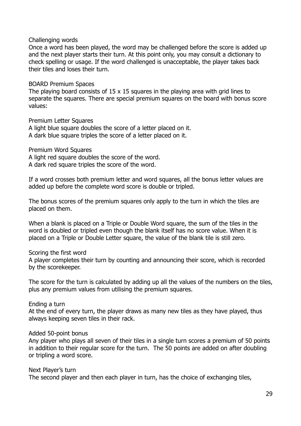#### Challenging words

Once a word has been played, the word may be challenged before the score is added up and the next player starts their turn. At this point only, you may consult a dictionary to check spelling or usage. If the word challenged is unacceptable, the player takes back their tiles and loses their turn.

#### BOARD Premium Spaces

The playing board consists of  $15 \times 15$  squares in the playing area with grid lines to separate the squares. There are special premium squares on the board with bonus score values:

Premium Letter Squares

A light blue square doubles the score of a letter placed on it. A dark blue square triples the score of a letter placed on it.

Premium Word Squares

A light red square doubles the score of the word.

A dark red square triples the score of the word.

If a word crosses both premium letter and word squares, all the bonus letter values are added up before the complete word score is double or tripled.

The bonus scores of the premium squares only apply to the turn in which the tiles are placed on them.

When a blank is placed on a Triple or Double Word square, the sum of the tiles in the word is doubled or tripled even though the blank itself has no score value. When it is placed on a Triple or Double Letter square, the value of the blank tile is still zero.

#### Scoring the first word

A player completes their turn by counting and announcing their score, which is recorded by the scorekeeper.

The score for the turn is calculated by adding up all the values of the numbers on the tiles, plus any premium values from utilising the premium squares.

Ending a turn

At the end of every turn, the player draws as many new tiles as they have played, thus always keeping seven tiles in their rack.

#### Added 50-point bonus

Any player who plays all seven of their tiles in a single turn scores a premium of 50 points in addition to their regular score for the turn. The 50 points are added on after doubling or tripling a word score.

Next Player's turn The second player and then each player in turn, has the choice of exchanging tiles,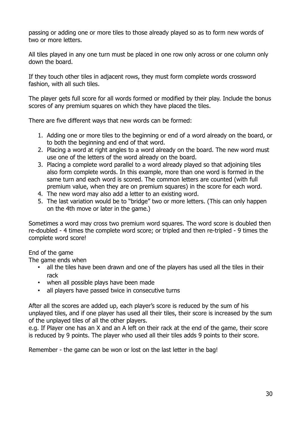passing or adding one or more tiles to those already played so as to form new words of two or more letters.

All tiles played in any one turn must be placed in one row only across or one column only down the board.

If they touch other tiles in adjacent rows, they must form complete words crossword fashion, with all such tiles.

The player gets full score for all words formed or modified by their play. Include the bonus scores of any premium squares on which they have placed the tiles.

There are five different ways that new words can be formed:

- 1. Adding one or more tiles to the beginning or end of a word already on the board, or to both the beginning and end of that word.
- 2. Placing a word at right angles to a word already on the board. The new word must use one of the letters of the word already on the board.
- 3. Placing a complete word parallel to a word already played so that adjoining tiles also form complete words. In this example, more than one word is formed in the same turn and each word is scored. The common letters are counted (with full premium value, when they are on premium squares) in the score for each word.
- 4. The new word may also add a letter to an existing word.
- 5. The last variation would be to "bridge" two or more letters. (This can only happen on the 4th move or later in the game.)

Sometimes a word may cross two premium word squares. The word score is doubled then re-doubled - 4 times the complete word score; or tripled and then re-tripled - 9 times the complete word score!

End of the game

The game ends when

- all the tiles have been drawn and one of the players has used all the tiles in their rack
- when all possible plays have been made
- all players have passed twice in consecutive turns

After all the scores are added up, each player's score is reduced by the sum of his unplayed tiles, and if one player has used all their tiles, their score is increased by the sum of the unplayed tiles of all the other players.

e.g. If Player one has an X and an A left on their rack at the end of the game, their score is reduced by 9 points. The player who used all their tiles adds 9 points to their score.

Remember - the game can be won or lost on the last letter in the bag!